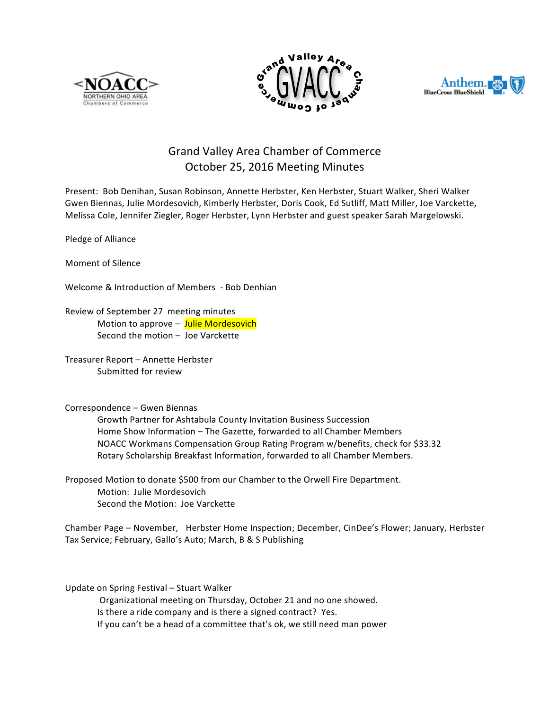





## Grand Valley Area Chamber of Commerce October 25, 2016 Meeting Minutes

Present: Bob Denihan, Susan Robinson, Annette Herbster, Ken Herbster, Stuart Walker, Sheri Walker Gwen Biennas, Julie Mordesovich, Kimberly Herbster, Doris Cook, Ed Sutliff, Matt Miller, Joe Varckette, Melissa Cole, Jennifer Ziegler, Roger Herbster, Lynn Herbster and guest speaker Sarah Margelowski.

Pledge of Alliance

Moment of Silence

Welcome & Introduction of Members - Bob Denhian

Review of September 27 meeting minutes Motion to approve – Julie Mordesovich Second the motion  $-$  Joe Varckette

Treasurer Report - Annette Herbster Submitted for review

Correspondence - Gwen Biennas

Growth Partner for Ashtabula County Invitation Business Succession Home Show Information - The Gazette, forwarded to all Chamber Members NOACC Workmans Compensation Group Rating Program w/benefits, check for \$33.32 Rotary Scholarship Breakfast Information, forwarded to all Chamber Members.

Proposed Motion to donate \$500 from our Chamber to the Orwell Fire Department. Motion: Julie Mordesovich Second the Motion: Joe Varckette

Chamber Page – November, Herbster Home Inspection; December, CinDee's Flower; January, Herbster Tax Service; February, Gallo's Auto; March, B & S Publishing

Update on Spring Festival – Stuart Walker

Organizational meeting on Thursday, October 21 and no one showed. Is there a ride company and is there a signed contract? Yes. If you can't be a head of a committee that's ok, we still need man power